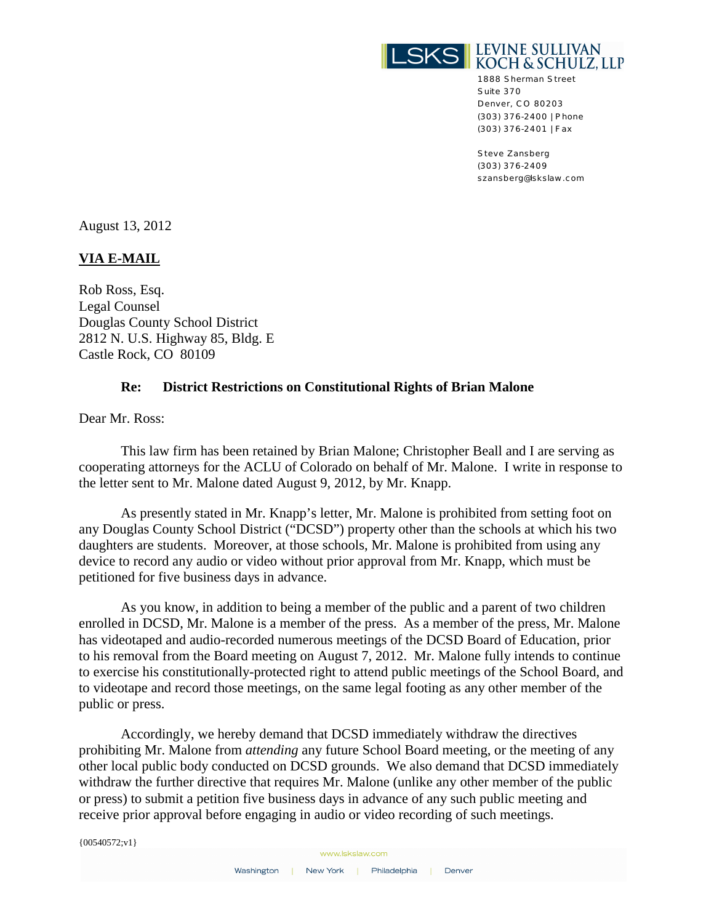

1888 Sherman Street Suite 370 Denver, CO 80203 (303) 376-2400 | Phone (303) 376-2401 | Fax

Steve Zansberg (303) 376-2409 szansberg@lskslaw.com

August 13, 2012

## **VIA E-MAIL**

Rob Ross, Esq. Legal Counsel Douglas County School District 2812 N. U.S. Highway 85, Bldg. E Castle Rock, CO 80109

## **Re: District Restrictions on Constitutional Rights of Brian Malone**

Dear Mr. Ross:

This law firm has been retained by Brian Malone; Christopher Beall and I are serving as cooperating attorneys for the ACLU of Colorado on behalf of Mr. Malone. I write in response to the letter sent to Mr. Malone dated August 9, 2012, by Mr. Knapp.

As presently stated in Mr. Knapp's letter, Mr. Malone is prohibited from setting foot on any Douglas County School District ("DCSD") property other than the schools at which his two daughters are students. Moreover, at those schools, Mr. Malone is prohibited from using any device to record any audio or video without prior approval from Mr. Knapp, which must be petitioned for five business days in advance.

As you know, in addition to being a member of the public and a parent of two children enrolled in DCSD, Mr. Malone is a member of the press. As a member of the press, Mr. Malone has videotaped and audio-recorded numerous meetings of the DCSD Board of Education, prior to his removal from the Board meeting on August 7, 2012. Mr. Malone fully intends to continue to exercise his constitutionally-protected right to attend public meetings of the School Board, and to videotape and record those meetings, on the same legal footing as any other member of the public or press.

Accordingly, we hereby demand that DCSD immediately withdraw the directives prohibiting Mr. Malone from *attending* any future School Board meeting, or the meeting of any other local public body conducted on DCSD grounds. We also demand that DCSD immediately withdraw the further directive that requires Mr. Malone (unlike any other member of the public or press) to submit a petition five business days in advance of any such public meeting and receive prior approval before engaging in audio or video recording of such meetings.

 ${00540572; v1}$